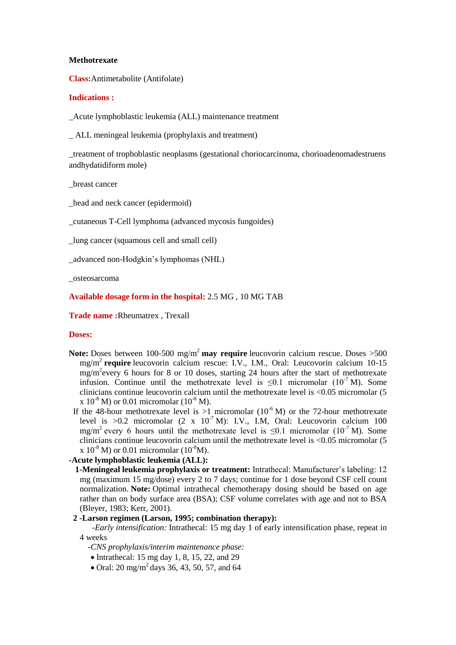#### **Methotrexate**

**Class:**Antimetabolite (Antifolate)

### **Indications :**

\_Acute lymphoblastic leukemia (ALL) maintenance treatment

\_ ALL meningeal leukemia (prophylaxis and treatment)

\_treatment of trophoblastic neoplasms (gestational choriocarcinoma, chorioadenomadestruens andhydatidiform mole)

\_breast cancer

\_head and neck cancer (epidermoid)

\_cutaneous T-Cell lymphoma (advanced mycosis fungoides)

\_lung cancer (squamous cell and small cell)

\_advanced non-Hodgkin's lymphomas (NHL)

\_osteosarcoma

## **Available dosage form in the hospital:** 2.5 MG , 10 MG TAB

**Trade name :**Rheumatrex , Trexall

#### **Doses:**

- **Note:** Doses between 100-500 mg/m<sup>2</sup> may require leucovorin calcium rescue. Doses >500 mg/m<sup>2</sup> **require** leucovorin calcium rescue: I.V., I.M., Oral: Leucovorin calcium 10-15 mg/m<sup>2</sup> every 6 hours for 8 or 10 doses, starting 24 hours after the start of methotrexate infusion. Continue until the methotrexate level is  $\leq 0.1$  micromolar (10<sup>-7</sup> M). Some clinicians continue leucovorin calcium until the methotrexate level is <0.05 micromolar (5 x  $10^{-8}$  M) or 0.01 micromolar ( $10^{-8}$  M).
- If the 48-hour methotrexate level is  $>1$  micromolar (10<sup>-6</sup> M) or the 72-hour methotrexate level is  $>0.2$  micromolar (2 x 10<sup>-7</sup> M): I.V., I.M. Oral: Leucovorin calcium 100 mg/m<sup>2</sup> every 6 hours until the methotrexate level is  $\leq 0.1$  micromolar (10<sup>-7</sup> M). Some clinicians continue leucovorin calcium until the methotrexate level is <0.05 micromolar (5 x  $10^{-8}$  M) or 0.01 micromolar (10<sup>-8</sup>M).

## **-Acute lymphoblastic leukemia (ALL):**

 **1-Meningeal leukemia prophylaxis or treatment:** Intrathecal: Manufacturer's labeling: 12 mg (maximum 15 mg/dose) every 2 to 7 days; continue for 1 dose beyond CSF cell count normalization. **Note:** Optimal intrathecal chemotherapy dosing should be based on age rather than on body surface area (BSA); CSF volume correlates with age and not to BSA (Bleyer, 1983; Kerr, 2001).

## **2 -Larson regimen (Larson, 1995; combination therapy):**

 *-Early intensification:* Intrathecal: 15 mg day 1 of early intensification phase, repeat in 4 weeks

- *-CNS prophylaxis/interim maintenance phase:*
- $\bullet$  Intrathecal: 15 mg day 1, 8, 15, 22, and 29
- Oral:  $20 \text{ mg/m}^2$  days 36, 43, 50, 57, and 64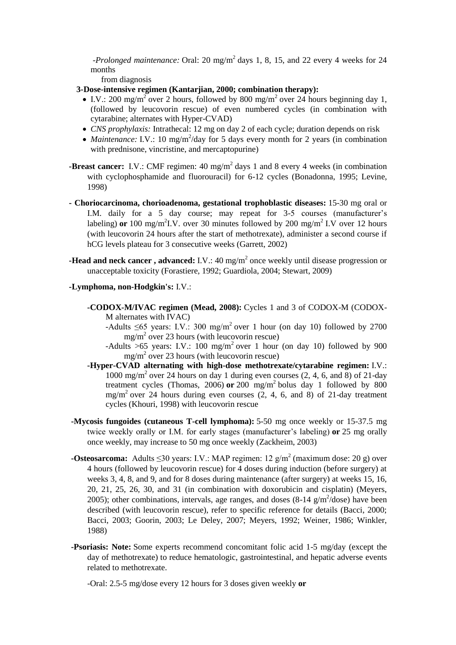*-Prolonged maintenance:* Oral: 20 mg/m<sup>2</sup> days 1, 8, 15, and 22 every 4 weeks for 24 months

from diagnosis

- **3-Dose-intensive regimen (Kantarjian, 2000; combination therapy):**
	- I.V.: 200 mg/m<sup>2</sup> over 2 hours, followed by 800 mg/m<sup>2</sup> over 24 hours beginning day 1, (followed by leucovorin rescue) of even numbered cycles (in combination with cytarabine; alternates with Hyper-CVAD)
	- *CNS prophylaxis:* Intrathecal: 12 mg on day 2 of each cycle; duration depends on risk
	- *Maintenance:* I.V.: 10 mg/m<sup>2</sup>/day for 5 days every month for 2 years (in combination with prednisone, vincristine, and mercaptopurine)
- **-Breast cancer:** I.V.: CMF regimen: 40 mg/m<sup>2</sup> days 1 and 8 every 4 weeks (in combination with cyclophosphamide and fluorouracil) for 6-12 cycles (Bonadonna, 1995; Levine, 1998)
- **- Choriocarcinoma, chorioadenoma, gestational trophoblastic diseases:** 15-30 mg oral or I.M. daily for a 5 day course; may repeat for 3-5 courses (manufacturer's labeling) **or** 100 mg/m<sup>2</sup>I.V. over 30 minutes followed by 200 mg/m<sup>2</sup> I.V over 12 hours (with leucovorin 24 hours after the start of methotrexate), administer a second course if hCG levels plateau for 3 consecutive weeks (Garrett, 2002)
- **-Head and neck cancer**, advanced: I.V.: 40 mg/m<sup>2</sup> once weekly until disease progression or unacceptable toxicity (Forastiere, 1992; Guardiola, 2004; Stewart, 2009)

#### **-Lymphoma, non-Hodgkin's:** I.V.:

- **-CODOX-M/IVAC regimen (Mead, 2008):** Cycles 1 and 3 of CODOX-M (CODOX-M alternates with IVAC)
	- -Adults  $\leq 65$  years: I.V.: 300 mg/m<sup>2</sup> over 1 hour (on day 10) followed by 2700 mg/m<sup>2</sup> over 23 hours (with leucovorin rescue)
	- -Adults >65 years: I.V.: 100 mg/m<sup>2</sup> over 1 hour (on day 10) followed by 900 mg/m<sup>2</sup> over 23 hours (with leucovorin rescue)
- **-Hyper-CVAD alternating with high-dose methotrexate/cytarabine regimen:** I.V.: 1000 mg/m<sup>2</sup> over 24 hours on day 1 during even courses (2, 4, 6, and 8) of 21-day treatment cycles (Thomas, 2006) **or** 200 mg/m<sup>2</sup> bolus day 1 followed by 800  $mg/m<sup>2</sup>$  over 24 hours during even courses  $(2, 4, 6,$  and 8) of 21-day treatment cycles (Khouri, 1998) with leucovorin rescue
- **-Mycosis fungoides (cutaneous T-cell lymphoma):** 5-50 mg once weekly or 15-37.5 mg twice weekly orally or I.M. for early stages (manufacturer's labeling) **or** 25 mg orally once weekly, may increase to 50 mg once weekly (Zackheim, 2003)
- **-Osteosarcoma:** Adults  $\leq 30$  years: I.V.: MAP regimen: 12  $g/m^2$  (maximum dose: 20 g) over 4 hours (followed by leucovorin rescue) for 4 doses during induction (before surgery) at weeks 3, 4, 8, and 9, and for 8 doses during maintenance (after surgery) at weeks 15, 16, 20, 21, 25, 26, 30, and 31 (in combination with doxorubicin and cisplatin) (Meyers, 2005); other combinations, intervals, age ranges, and doses  $(8-14 \text{ g/m}^2/\text{dose})$  have been described (with leucovorin rescue), refer to specific reference for details (Bacci, 2000; Bacci, 2003; Goorin, 2003; Le Deley, 2007; Meyers, 1992; Weiner, 1986; Winkler, 1988)
- **-Psoriasis: Note:** Some experts recommend concomitant folic acid 1-5 mg/day (except the day of methotrexate) to reduce hematologic, gastrointestinal, and hepatic adverse events related to methotrexate.

-Oral: 2.5-5 mg/dose every 12 hours for 3 doses given weekly **or**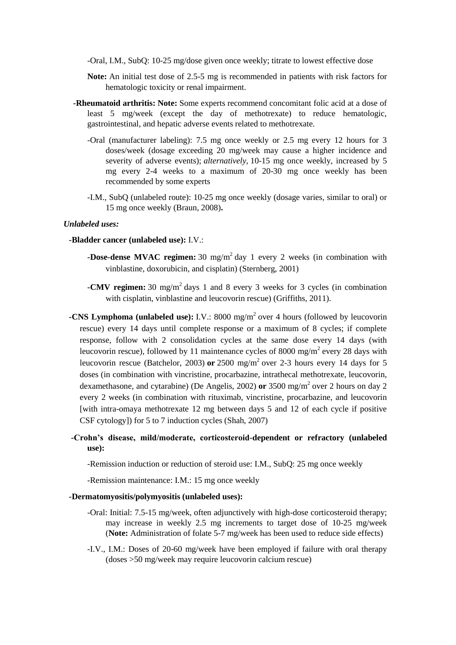-Oral, I.M., SubQ: 10-25 mg/dose given once weekly; titrate to lowest effective dose

- **Note:** An initial test dose of 2.5-5 mg is recommended in patients with risk factors for hematologic toxicity or renal impairment.
- **-Rheumatoid arthritis: Note:** Some experts recommend concomitant folic acid at a dose of least 5 mg/week (except the day of methotrexate) to reduce hematologic, gastrointestinal, and hepatic adverse events related to methotrexate.
	- -Oral (manufacturer labeling): 7.5 mg once weekly or 2.5 mg every 12 hours for 3 doses/week (dosage exceeding 20 mg/week may cause a higher incidence and severity of adverse events); *alternatively,* 10-15 mg once weekly, increased by 5 mg every 2-4 weeks to a maximum of 20-30 mg once weekly has been recommended by some experts
	- -I.M., SubQ (unlabeled route): 10-25 mg once weekly (dosage varies, similar to oral) or 15 mg once weekly (Braun, 2008)**.**

#### *Unlabeled uses:*

- **-Bladder cancer (unlabeled use):** I.V.:
	- **-Dose-dense MVAC regimen:** 30 mg/m<sup>2</sup> day 1 every 2 weeks (in combination with vinblastine, doxorubicin, and cisplatin) (Sternberg, 2001)
	- **-CMV regimen:** 30 mg/m<sup>2</sup> days 1 and 8 every 3 weeks for 3 cycles (in combination with cisplatin, vinblastine and leucovorin rescue) (Griffiths, 2011).
- **-CNS Lymphoma (unlabeled use):** I.V.: 8000 mg/m<sup>2</sup> over 4 hours (followed by leucovorin rescue) every 14 days until complete response or a maximum of 8 cycles; if complete response, follow with 2 consolidation cycles at the same dose every 14 days (with leucovorin rescue), followed by 11 maintenance cycles of 8000 mg/m<sup>2</sup> every 28 days with leucovorin rescue (Batchelor, 2003) or 2500 mg/m<sup>2</sup> over 2-3 hours every 14 days for 5 doses (in combination with vincristine, procarbazine, intrathecal methotrexate, leucovorin, dexamethasone, and cytarabine) (De Angelis, 2002) or 3500 mg/m<sup>2</sup> over 2 hours on day 2 every 2 weeks (in combination with rituximab, vincristine, procarbazine, and leucovorin [with intra-omaya methotrexate 12 mg between days 5 and 12 of each cycle if positive CSF cytology]) for 5 to 7 induction cycles (Shah, 2007)
- **-Crohn's disease, mild/moderate, corticosteroid-dependent or refractory (unlabeled use):**

-Remission induction or reduction of steroid use: I.M., SubQ: 25 mg once weekly

-Remission maintenance: I.M.: 15 mg once weekly

#### **-Dermatomyositis/polymyositis (unlabeled uses):**

- -Oral: Initial: 7.5-15 mg/week, often adjunctively with high-dose corticosteroid therapy; may increase in weekly 2.5 mg increments to target dose of 10-25 mg/week (**Note:** Administration of folate 5-7 mg/week has been used to reduce side effects)
- -I.V., I.M.: Doses of 20-60 mg/week have been employed if failure with oral therapy (doses >50 mg/week may require leucovorin calcium rescue)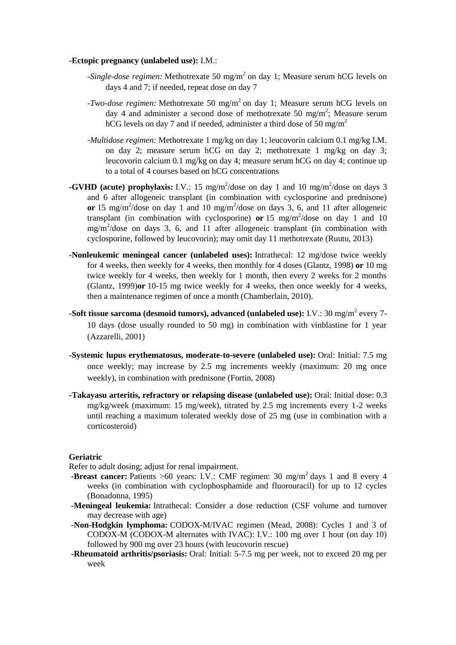#### **-Ectopic pregnancy (unlabeled use):** I.M.:

- -Single-dose regimen: Methotrexate 50 mg/m<sup>2</sup> on day 1; Measure serum hCG levels on days 4 and 7; if needed, repeat dose on day 7
- *-Two-dose regimen:* Methotrexate 50 mg/m<sup>2</sup> on day 1; Measure serum hCG levels on day 4 and administer a second dose of methotrexate 50 mg/m<sup>2</sup>; Measure serum hCG levels on day 7 and if needed, administer a third dose of 50 mg/m<sup>2</sup>
- *-Multidose regimen:* Methotrexate 1 mg/kg on day 1; leucovorin calcium 0.1 mg/kg I.M. on day 2; measure serum hCG on day 2; methotrexate 1 mg/kg on day 3; leucovorin calcium 0.1 mg/kg on day 4; measure serum hCG on day 4; continue up to a total of 4 courses based on hCG concentrations
- **-GVHD (acute) prophylaxis:** I.V.: 15 mg/m<sup>2</sup>/dose on day 1 and 10 mg/m<sup>2</sup>/dose on days 3 and 6 after allogeneic transplant (in combination with cyclosporine and prednisone) or 15 mg/m<sup>2</sup>/dose on day 1 and 10 mg/m<sup>2</sup>/dose on days 3, 6, and 11 after allogeneic transplant (in combination with cyclosporine) or  $15 \text{ mg/m}^2/\text{dose}$  on day 1 and 10 mg/m<sup>2</sup> /dose on days 3, 6, and 11 after allogeneic transplant (in combination with cyclosporine, followed by leucovorin); may omit day 11 methotrexate (Ruutu, 2013)
- **-Nonleukemic meningeal cancer (unlabeled uses):** Intrathecal: 12 mg/dose twice weekly for 4 weeks, then weekly for 4 weeks, then monthly for 4 doses (Glantz, 1998) **or** 10 mg twice weekly for 4 weeks, then weekly for 1 month, then every 2 weeks for 2 months (Glantz, 1999)**or** 10-15 mg twice weekly for 4 weeks, then once weekly for 4 weeks, then a maintenance regimen of once a month (Chamberlain, 2010).
- **-Soft tissue sarcoma (desmoid tumors), advanced (unlabeled use):** I.V.: 30 mg/m<sup>2</sup> every 7-10 days (dose usually rounded to 50 mg) in combination with vinblastine for 1 year (Azzarelli, 2001)
- **-Systemic lupus erythematosus, moderate-to-severe (unlabeled use):** Oral: Initial: 7.5 mg once weekly; may increase by 2.5 mg increments weekly (maximum: 20 mg once weekly), in combination with prednisone (Fortin, 2008)
- **-Takayasu arteritis, refractory or relapsing disease (unlabeled use):** Oral: Initial dose: 0.3 mg/kg/week (maximum: 15 mg/week), titrated by 2.5 mg increments every 1-2 weeks until reaching a maximum tolerated weekly dose of 25 mg (use in combination with a corticosteroid)

## **Geriatric**

Refer to adult dosing; adjust for renal impairment.

- **-Breast cancer:** Patients  $>60$  years: I.V.: CMF regimen: 30 mg/m<sup>2</sup> days 1 and 8 every 4 weeks (in combination with cyclophosphamide and fluorouracil) for up to 12 cycles (Bonadonna, 1995)
- **-Meningeal leukemia:** Intrathecal: Consider a dose reduction (CSF volume and turnover may decrease with age)
- **-Non-Hodgkin lymphoma:** CODOX-M/IVAC regimen (Mead, 2008): Cycles 1 and 3 of CODOX-M (CODOX-M alternates with IVAC): I.V.: 100 mg over 1 hour (on day 10) followed by 900 mg over 23 hours (with leucovorin rescue)
- **-Rheumatoid arthritis/psoriasis:** Oral: Initial: 5-7.5 mg per week, not to exceed 20 mg per week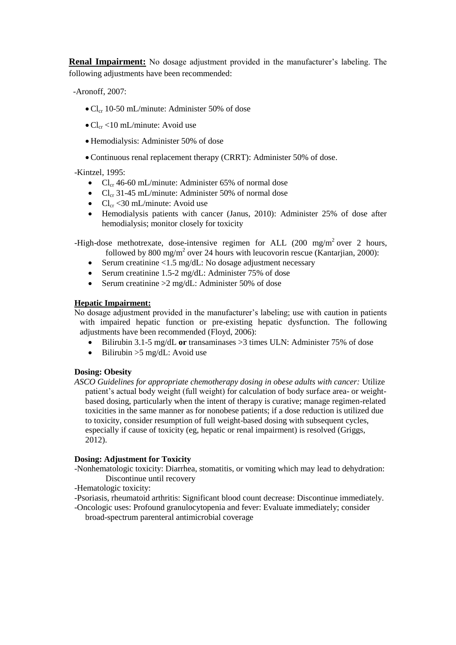**Renal Impairment:** No dosage adjustment provided in the manufacturer's labeling. The following adjustments have been recommended:

-Aronoff, 2007:

- $\bullet$  Cl<sub>cr</sub> 10-50 mL/minute: Administer 50% of dose
- $\bullet$  Cl<sub>cr</sub> <10 mL/minute: Avoid use
- Hemodialysis: Administer 50% of dose
- Continuous renal replacement therapy (CRRT): Administer 50% of dose.

-Kintzel, 1995:

- $Cl<sub>cr</sub>$  46-60 mL/minute: Administer 65% of normal dose
- $Cl_{cr}$  31-45 mL/minute: Administer 50% of normal dose
- $Cl_{cr}$  <30 mL/minute: Avoid use
- Hemodialysis patients with cancer (Janus, 2010): Administer 25% of dose after hemodialysis; monitor closely for toxicity

-High-dose methotrexate, dose-intensive regimen for ALL  $(200 \text{ mg/m}^2)$  over 2 hours, followed by 800 mg/m<sup>2</sup> over 24 hours with leucovorin rescue (Kantarjian, 2000):

- Serum creatinine  $\langle 1.5 \text{ mg/dL} \rangle$ : No dosage adjustment necessary
- Serum creatinine 1.5-2 mg/dL: Administer 75% of dose
- Serum creatinine  $\geq 2$  mg/dL: Administer 50% of dose

## **Hepatic Impairment:**

No dosage adjustment provided in the manufacturer's labeling; use with caution in patients with impaired hepatic function or pre-existing hepatic dysfunction. The following adjustments have been recommended (Floyd, 2006):

- Bilirubin 3.1-5 mg/dL **or** transaminases >3 times ULN: Administer 75% of dose
- $\bullet$  Bilirubin >  $5 \text{ mg/dL}$ : Avoid use

## **Dosing: Obesity**

*ASCO Guidelines for appropriate chemotherapy dosing in obese adults with cancer:* Utilize patient's actual body weight (full weight) for calculation of body surface area- or weightbased dosing, particularly when the intent of therapy is curative; manage regimen-related toxicities in the same manner as for nonobese patients; if a dose reduction is utilized due to toxicity, consider resumption of full weight-based dosing with subsequent cycles, especially if cause of toxicity (eg, hepatic or renal impairment) is resolved (Griggs, 2012).

# **Dosing: Adjustment for Toxicity**

- -Nonhematologic toxicity: Diarrhea, stomatitis, or vomiting which may lead to dehydration: Discontinue until recovery
- -Hematologic toxicity:
- -Psoriasis, rheumatoid arthritis: Significant blood count decrease: Discontinue immediately.
- -Oncologic uses: Profound granulocytopenia and fever: Evaluate immediately; consider broad-spectrum parenteral antimicrobial coverage